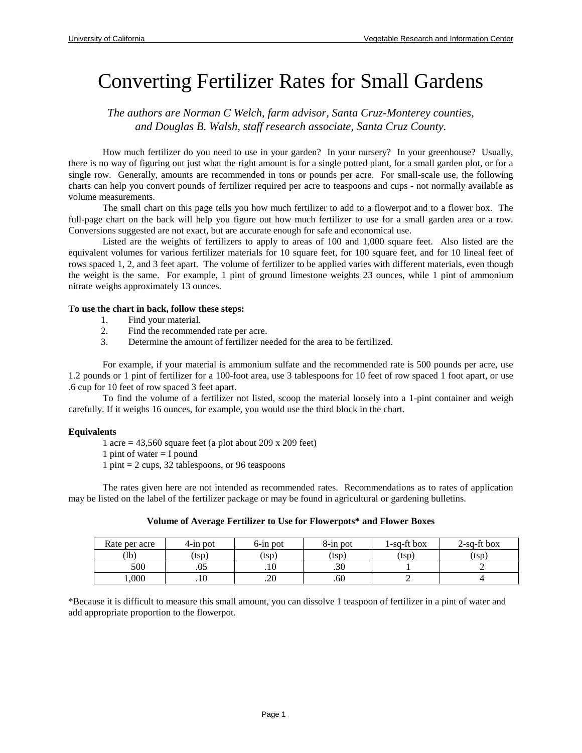# Converting Fertilizer Rates for Small Gardens

*The authors are Norman C Welch, farm advisor, Santa Cruz-Monterey counties, and Douglas B. Walsh, staff research associate, Santa Cruz County.* 

 How much fertilizer do you need to use in your garden? In your nursery? In your greenhouse? Usually, there is no way of figuring out just what the right amount is for a single potted plant, for a small garden plot, or for a single row. Generally, amounts are recommended in tons or pounds per acre. For small-scale use, the following charts can help you convert pounds of fertilizer required per acre to teaspoons and cups - not normally available as volume measurements.

 The small chart on this page tells you how much fertilizer to add to a flowerpot and to a flower box. The full-page chart on the back will help you figure out how much fertilizer to use for a small garden area or a row. Conversions suggested are not exact, but are accurate enough for safe and economical use.

 Listed are the weights of fertilizers to apply to areas of 100 and 1,000 square feet. Also listed are the equivalent volumes for various fertilizer materials for 10 square feet, for 100 square feet, and for 10 lineal feet of rows spaced 1, 2, and 3 feet apart. The volume of fertilizer to be applied varies with different materials, even though the weight is the same. For example, 1 pint of ground limestone weights 23 ounces, while 1 pint of ammonium nitrate weighs approximately 13 ounces.

#### **To use the chart in back, follow these steps:**

- 1. Find your material.
- 2. Find the recommended rate per acre.
- 3. Determine the amount of fertilizer needed for the area to be fertilized.

For example, if your material is ammonium sulfate and the recommended rate is 500 pounds per acre, use 1.2 pounds or 1 pint of fertilizer for a 100-foot area, use 3 tablespoons for 10 feet of row spaced 1 foot apart, or use .6 cup for 10 feet of row spaced 3 feet apart.

 To find the volume of a fertilizer not listed, scoop the material loosely into a 1-pint container and weigh carefully. If it weighs 16 ounces, for example, you would use the third block in the chart.

### **Equivalents**

1 acre =  $43,560$  square feet (a plot about 209 x 209 feet)

- 1 pint of water  $=$  I pound
- 1 pint = 2 cups, 32 tablespoons, or 96 teaspoons

 The rates given here are not intended as recommended rates. Recommendations as to rates of application may be listed on the label of the fertilizer package or may be found in agricultural or gardening bulletins.

#### **Volume of Average Fertilizer to Use for Flowerpots\* and Flower Boxes**

| Rate per acre | $4$ -in pot | $6$ -in pot | $8$ -in pot | l-sa-ft box | 2-sq-ft box |
|---------------|-------------|-------------|-------------|-------------|-------------|
| (1b           | (tsp)       | (tsp`       | (tsp        | tsp)        | (tsp)       |
| 500           | .UJ         | .10         | .30         |             |             |
| ,000          | . I V       | ∩∩<br>.∠∪   | .60         |             |             |

\*Because it is difficult to measure this small amount, you can dissolve 1 teaspoon of fertilizer in a pint of water and add appropriate proportion to the flowerpot.